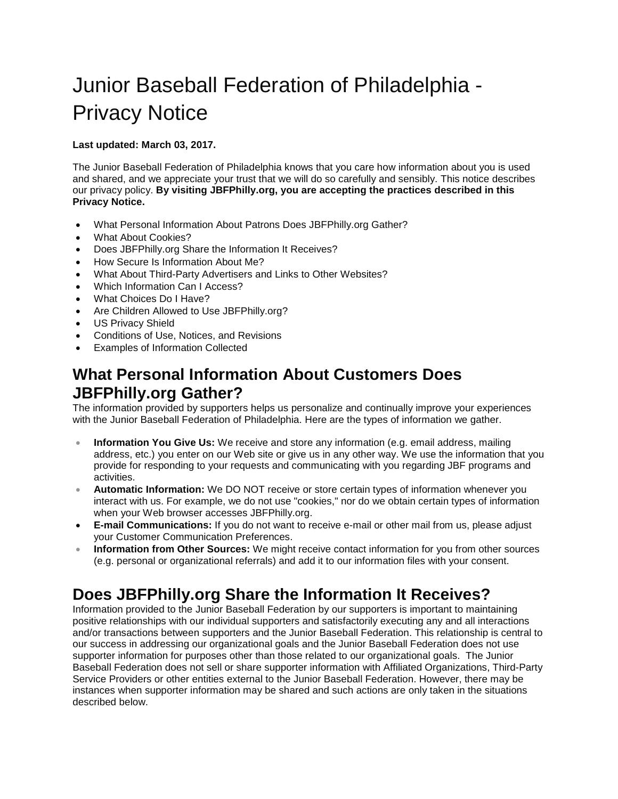# Junior Baseball Federation of Philadelphia - Privacy Notice

#### **Last updated: March 03, 2017.**

The Junior Baseball Federation of Philadelphia knows that you care how information about you is used and shared, and we appreciate your trust that we will do so carefully and sensibly. This notice describes our privacy policy. **By visiting JBFPhilly.org, you are accepting the practices described in this Privacy Notice.**

- What Personal Information About Patrons Does JBFPhilly.org Gather?
- What About Cookies?
- Does JBFPhilly.org Share the Information It Receives?
- How Secure Is Information About Me?
- What About Third-Party Advertisers and Links to Other Websites?
- Which Information Can I Access?
- What Choices Do I Have?
- Are Children Allowed to Use JBFPhilly.org?
- US Privacy Shield
- Conditions of Use, Notices, and Revisions
- Examples of Information Collected

#### **What Personal Information About Customers Does JBFPhilly.org Gather?**

The information provided by supporters helps us personalize and continually improve your experiences with the Junior Baseball Federation of Philadelphia. Here are the types of information we gather.

- **Information You Give Us:** We receive and store any information (e.g. email address, mailing address, etc.) you enter on our Web site or give us in any other way. We use the information that you provide for responding to your requests and communicating with you regarding JBF programs and activities.
- **Automatic Information:** We DO NOT receive or store certain types of information whenever you interact with us. For example, we do not use "cookies," nor do we obtain certain types of information when your Web browser accesses JBFPhilly.org.
- **E-mail Communications:** If you do not want to receive e-mail or other mail from us, please adjust your Customer Communication Preferences.
- **Information from Other Sources:** We might receive contact information for you from other sources (e.g. personal or organizational referrals) and add it to our information files with your consent.

### **Does JBFPhilly.org Share the Information It Receives?**

Information provided to the Junior Baseball Federation by our supporters is important to maintaining positive relationships with our individual supporters and satisfactorily executing any and all interactions and/or transactions between supporters and the Junior Baseball Federation. This relationship is central to our success in addressing our organizational goals and the Junior Baseball Federation does not use supporter information for purposes other than those related to our organizational goals. The Junior Baseball Federation does not sell or share supporter information with Affiliated Organizations, Third-Party Service Providers or other entities external to the Junior Baseball Federation. However, there may be instances when supporter information may be shared and such actions are only taken in the situations described below.